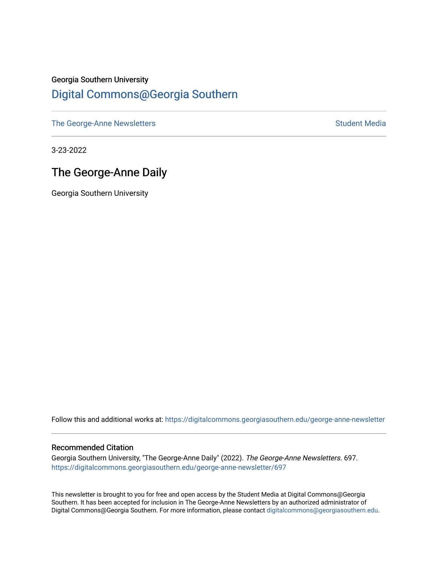## Georgia Southern University [Digital Commons@Georgia Southern](https://digitalcommons.georgiasouthern.edu/)

[The George-Anne Newsletters](https://digitalcommons.georgiasouthern.edu/george-anne-newsletter) **Student Media** Student Media

3-23-2022

# The George-Anne Daily

Georgia Southern University

Follow this and additional works at: [https://digitalcommons.georgiasouthern.edu/george-anne-newsletter](https://digitalcommons.georgiasouthern.edu/george-anne-newsletter?utm_source=digitalcommons.georgiasouthern.edu%2Fgeorge-anne-newsletter%2F697&utm_medium=PDF&utm_campaign=PDFCoverPages)

#### Recommended Citation

Georgia Southern University, "The George-Anne Daily" (2022). The George-Anne Newsletters. 697. [https://digitalcommons.georgiasouthern.edu/george-anne-newsletter/697](https://digitalcommons.georgiasouthern.edu/george-anne-newsletter/697?utm_source=digitalcommons.georgiasouthern.edu%2Fgeorge-anne-newsletter%2F697&utm_medium=PDF&utm_campaign=PDFCoverPages) 

This newsletter is brought to you for free and open access by the Student Media at Digital Commons@Georgia Southern. It has been accepted for inclusion in The George-Anne Newsletters by an authorized administrator of Digital Commons@Georgia Southern. For more information, please contact [digitalcommons@georgiasouthern.edu.](mailto:digitalcommons@georgiasouthern.edu)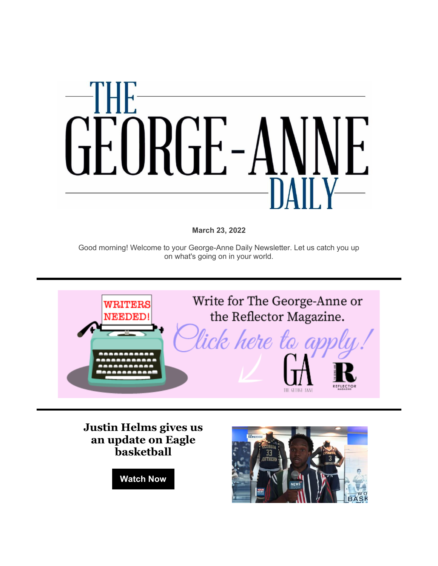

**March 23, 2022**

Good morning! Welcome to your George-Anne Daily Newsletter. Let us catch you up on what's going on in your world.



**[Justin Helms gives us](https://r20.rs6.net/tn.jsp?f=001eyi7r1OGLvdqblpaajQAZZAgQVhBzE6dVWpJnx5-w75PqnWgdNRdGZSszAP29EkEhq9EjNxHEihyd3aatFyButkOvn8bvGtbU8ML5rWpZsfCz_VIrJ84Z7_YmWPQv5El7X37EWooxOMNDG0C1WlI0R8K1W7O-iz3ccetfbwfwdnmDfJr50YO9Q==&c=JNl5Ydfo7Md3QTgH5XErTbfko3Wfhq1HVTo7YgQkzNpe-iaDaOCvRQ==&ch=ZJitjY6Qd94Vg-rMeVtPp_4Wk93ok-pCRP5A9xZeQmYz9WFOO2GlqQ==)  [an update on Eagle](https://r20.rs6.net/tn.jsp?f=001eyi7r1OGLvdqblpaajQAZZAgQVhBzE6dVWpJnx5-w75PqnWgdNRdGZSszAP29EkEhq9EjNxHEihyd3aatFyButkOvn8bvGtbU8ML5rWpZsfCz_VIrJ84Z7_YmWPQv5El7X37EWooxOMNDG0C1WlI0R8K1W7O-iz3ccetfbwfwdnmDfJr50YO9Q==&c=JNl5Ydfo7Md3QTgH5XErTbfko3Wfhq1HVTo7YgQkzNpe-iaDaOCvRQ==&ch=ZJitjY6Qd94Vg-rMeVtPp_4Wk93ok-pCRP5A9xZeQmYz9WFOO2GlqQ==)  [basketball](https://r20.rs6.net/tn.jsp?f=001eyi7r1OGLvdqblpaajQAZZAgQVhBzE6dVWpJnx5-w75PqnWgdNRdGZSszAP29EkEhq9EjNxHEihyd3aatFyButkOvn8bvGtbU8ML5rWpZsfCz_VIrJ84Z7_YmWPQv5El7X37EWooxOMNDG0C1WlI0R8K1W7O-iz3ccetfbwfwdnmDfJr50YO9Q==&c=JNl5Ydfo7Md3QTgH5XErTbfko3Wfhq1HVTo7YgQkzNpe-iaDaOCvRQ==&ch=ZJitjY6Qd94Vg-rMeVtPp_4Wk93ok-pCRP5A9xZeQmYz9WFOO2GlqQ==)**

**[Watch Now](https://r20.rs6.net/tn.jsp?f=001eyi7r1OGLvdqblpaajQAZZAgQVhBzE6dVWpJnx5-w75PqnWgdNRdGZSszAP29EkEhq9EjNxHEihyd3aatFyButkOvn8bvGtbU8ML5rWpZsfCz_VIrJ84Z7_YmWPQv5El7X37EWooxOMNDG0C1WlI0R8K1W7O-iz3ccetfbwfwdnmDfJr50YO9Q==&c=JNl5Ydfo7Md3QTgH5XErTbfko3Wfhq1HVTo7YgQkzNpe-iaDaOCvRQ==&ch=ZJitjY6Qd94Vg-rMeVtPp_4Wk93ok-pCRP5A9xZeQmYz9WFOO2GlqQ==)**

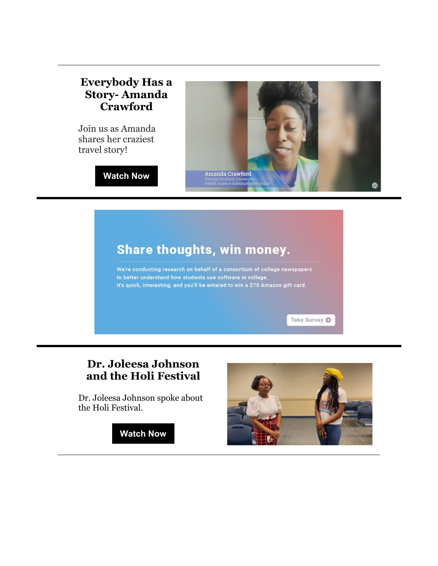### **[Everybody Has a](https://r20.rs6.net/tn.jsp?f=001eyi7r1OGLvdqblpaajQAZZAgQVhBzE6dVWpJnx5-w75PqnWgdNRdGZSszAP29EkEABiPiFxvhsii7JuDOy7H1AuwziBn3RHfpkbMk8gK3T9Q8p3Y1a_irSVaf2rQl7egV1vtVr37ZLYZvuY9fSEi_IJrzC6efFpv5kv1lXuG6j635zkMBZa7So3uFi-oBdDi_2CGPjx2aKpwitqvEdFwIAYXvjaDGmV1&c=JNl5Ydfo7Md3QTgH5XErTbfko3Wfhq1HVTo7YgQkzNpe-iaDaOCvRQ==&ch=ZJitjY6Qd94Vg-rMeVtPp_4Wk93ok-pCRP5A9xZeQmYz9WFOO2GlqQ==)  Story- [Amanda](https://r20.rs6.net/tn.jsp?f=001eyi7r1OGLvdqblpaajQAZZAgQVhBzE6dVWpJnx5-w75PqnWgdNRdGZSszAP29EkEABiPiFxvhsii7JuDOy7H1AuwziBn3RHfpkbMk8gK3T9Q8p3Y1a_irSVaf2rQl7egV1vtVr37ZLYZvuY9fSEi_IJrzC6efFpv5kv1lXuG6j635zkMBZa7So3uFi-oBdDi_2CGPjx2aKpwitqvEdFwIAYXvjaDGmV1&c=JNl5Ydfo7Md3QTgH5XErTbfko3Wfhq1HVTo7YgQkzNpe-iaDaOCvRQ==&ch=ZJitjY6Qd94Vg-rMeVtPp_4Wk93ok-pCRP5A9xZeQmYz9WFOO2GlqQ==)  [Crawford](https://r20.rs6.net/tn.jsp?f=001eyi7r1OGLvdqblpaajQAZZAgQVhBzE6dVWpJnx5-w75PqnWgdNRdGZSszAP29EkEABiPiFxvhsii7JuDOy7H1AuwziBn3RHfpkbMk8gK3T9Q8p3Y1a_irSVaf2rQl7egV1vtVr37ZLYZvuY9fSEi_IJrzC6efFpv5kv1lXuG6j635zkMBZa7So3uFi-oBdDi_2CGPjx2aKpwitqvEdFwIAYXvjaDGmV1&c=JNl5Ydfo7Md3QTgH5XErTbfko3Wfhq1HVTo7YgQkzNpe-iaDaOCvRQ==&ch=ZJitjY6Qd94Vg-rMeVtPp_4Wk93ok-pCRP5A9xZeQmYz9WFOO2GlqQ==)**

Join us as Amanda shares her craziest travel story!





# Share thoughts, win money.

We're conducting research on behalf of a consortium of college newspapers to better understand how students use software in college. It's quick, interesting, and you'll be entered to win a \$75 Amazon gift card.

Take Survey O

# **[Dr. Joleesa Johnson](https://r20.rs6.net/tn.jsp?f=001eyi7r1OGLvdqblpaajQAZZAgQVhBzE6dVWpJnx5-w75PqnWgdNRdGZSszAP29EkEHv8TF2BL9WOPOXCY-4bxEL5tHsju4ewihlujQ9f-XPxXhLCXvOZzNLIKF6fw-840ObxPE-pbE7OQXVt5hVx1nH38tLQRgP7WnKqAaznUu7Wwwj7gKAYEyA==&c=JNl5Ydfo7Md3QTgH5XErTbfko3Wfhq1HVTo7YgQkzNpe-iaDaOCvRQ==&ch=ZJitjY6Qd94Vg-rMeVtPp_4Wk93ok-pCRP5A9xZeQmYz9WFOO2GlqQ==)  [and the Holi Festival](https://r20.rs6.net/tn.jsp?f=001eyi7r1OGLvdqblpaajQAZZAgQVhBzE6dVWpJnx5-w75PqnWgdNRdGZSszAP29EkEHv8TF2BL9WOPOXCY-4bxEL5tHsju4ewihlujQ9f-XPxXhLCXvOZzNLIKF6fw-840ObxPE-pbE7OQXVt5hVx1nH38tLQRgP7WnKqAaznUu7Wwwj7gKAYEyA==&c=JNl5Ydfo7Md3QTgH5XErTbfko3Wfhq1HVTo7YgQkzNpe-iaDaOCvRQ==&ch=ZJitjY6Qd94Vg-rMeVtPp_4Wk93ok-pCRP5A9xZeQmYz9WFOO2GlqQ==)**

Dr. Joleesa Johnson spoke about the Holi Festival.

**[Watch Now](https://r20.rs6.net/tn.jsp?f=001eyi7r1OGLvdqblpaajQAZZAgQVhBzE6dVWpJnx5-w75PqnWgdNRdGZSszAP29EkEHv8TF2BL9WOPOXCY-4bxEL5tHsju4ewihlujQ9f-XPxXhLCXvOZzNLIKF6fw-840ObxPE-pbE7OQXVt5hVx1nH38tLQRgP7WnKqAaznUu7Wwwj7gKAYEyA==&c=JNl5Ydfo7Md3QTgH5XErTbfko3Wfhq1HVTo7YgQkzNpe-iaDaOCvRQ==&ch=ZJitjY6Qd94Vg-rMeVtPp_4Wk93ok-pCRP5A9xZeQmYz9WFOO2GlqQ==)**

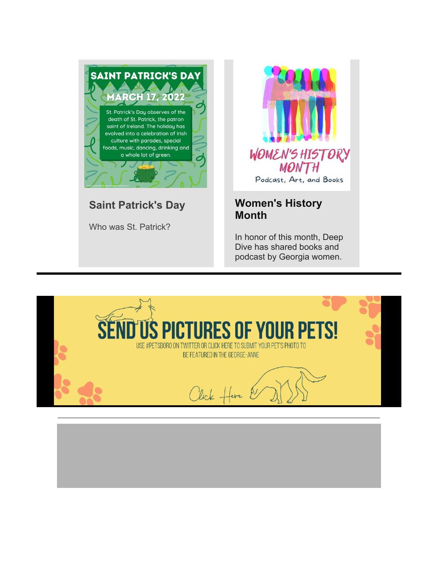

# **Saint Patrick's Day**

Who was St. Patrick?



### **[Women's History](https://r20.rs6.net/tn.jsp?f=001eyi7r1OGLvdqblpaajQAZZAgQVhBzE6dVWpJnx5-w75PqnWgdNRdGZSszAP29EkEuI6nUgEsw2iorDDsnCx85WJpVMXUrMIEEOeN9SuLrE6Ec7uTXGmKDUtBZ3V-_HCqWmdj_BUoM8sphukgba1cxdXhQww4uDHcBU11NHIaCwn92Gj2HfjPgb7UWGj3SBbT9a7n5daHmcBlJQ74xbxlXldU6ipfdDH7r_h6RPFci9TL61iU8VqeNFzURgkP-mUj&c=JNl5Ydfo7Md3QTgH5XErTbfko3Wfhq1HVTo7YgQkzNpe-iaDaOCvRQ==&ch=ZJitjY6Qd94Vg-rMeVtPp_4Wk93ok-pCRP5A9xZeQmYz9WFOO2GlqQ==)  [Month](https://r20.rs6.net/tn.jsp?f=001eyi7r1OGLvdqblpaajQAZZAgQVhBzE6dVWpJnx5-w75PqnWgdNRdGZSszAP29EkEuI6nUgEsw2iorDDsnCx85WJpVMXUrMIEEOeN9SuLrE6Ec7uTXGmKDUtBZ3V-_HCqWmdj_BUoM8sphukgba1cxdXhQww4uDHcBU11NHIaCwn92Gj2HfjPgb7UWGj3SBbT9a7n5daHmcBlJQ74xbxlXldU6ipfdDH7r_h6RPFci9TL61iU8VqeNFzURgkP-mUj&c=JNl5Ydfo7Md3QTgH5XErTbfko3Wfhq1HVTo7YgQkzNpe-iaDaOCvRQ==&ch=ZJitjY6Qd94Vg-rMeVtPp_4Wk93ok-pCRP5A9xZeQmYz9WFOO2GlqQ==)**

In honor of this month, Deep Dive has shared books and podcast by Georgia women.

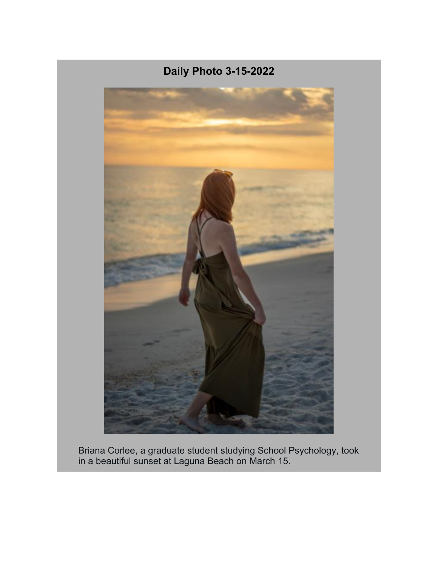

Briana Corlee, a graduate student studying School Psychology, took in a beautiful sunset at Laguna Beach on March 15.